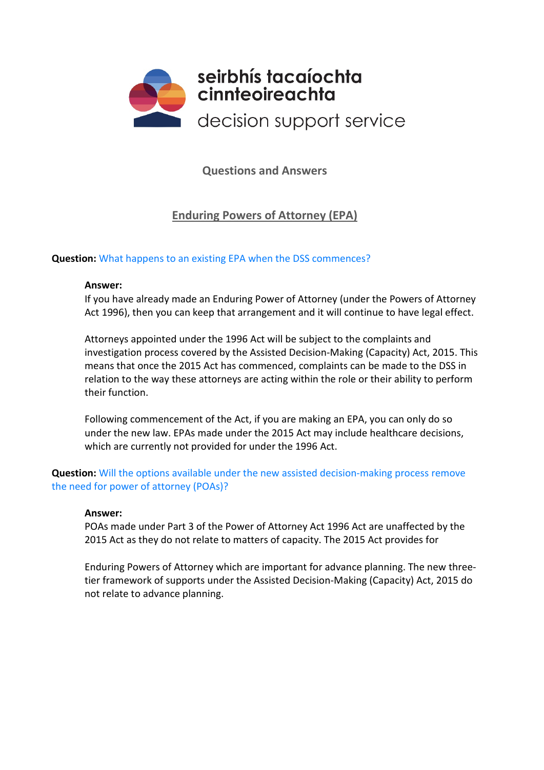

**Questions and Answers** 

# **Enduring Powers of Attorney (EPA)**

# **Question:** What happens to an existing EPA when the DSS commences?

## **Answer:**

If you have already made an Enduring Power of Attorney (under the Powers of Attorney Act 1996), then you can keep that arrangement and it will continue to have legal effect.

Attorneys appointed under the 1996 Act will be subject to the complaints and investigation process covered by the Assisted Decision-Making (Capacity) Act, 2015. This means that once the 2015 Act has commenced, complaints can be made to the DSS in relation to the way these attorneys are acting within the role or their ability to perform their function.

Following commencement of the Act, if you are making an EPA, you can only do so under the new law. EPAs made under the 2015 Act may include healthcare decisions, which are currently not provided for under the 1996 Act.

# **Question:** Will the options available under the new assisted decision-making process remove the need for power of attorney (POAs)?

### **Answer:**

POAs made under Part 3 of the Power of Attorney Act 1996 Act are unaffected by the 2015 Act as they do not relate to matters of capacity. The 2015 Act provides for

Enduring Powers of Attorney which are important for advance planning. The new threetier framework of supports under the Assisted Decision-Making (Capacity) Act, 2015 do not relate to advance planning.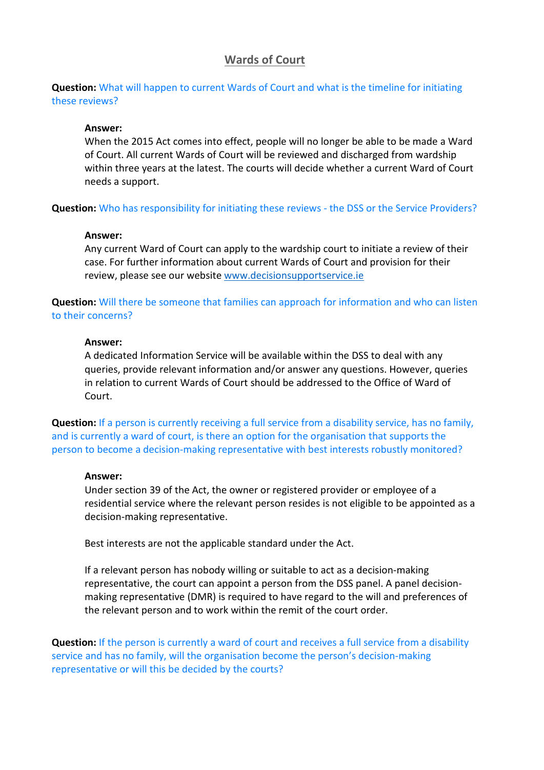# **Wards of Court**

# **Question:** What will happen to current Wards of Court and what is the timeline for initiating these reviews?

# **Answer:**

When the 2015 Act comes into effect, people will no longer be able to be made a Ward of Court. All current Wards of Court will be reviewed and discharged from wardship within three years at the latest. The courts will decide whether a current Ward of Court needs a support.

**Question:** Who has responsibility for initiating these reviews - the DSS or the Service Providers?

### **Answer:**

Any current Ward of Court can apply to the wardship court to initiate a review of their case. For further information about current Wards of Court and provision for their review, please see our website [www.decisionsupportservice.ie](http://www.decisionsupportservice.ie/)

**Question:** Will there be someone that families can approach for information and who can listen to their concerns?

#### **Answer:**

A dedicated Information Service will be available within the DSS to deal with any queries, provide relevant information and/or answer any questions. However, queries in relation to current Wards of Court should be addressed to the Office of Ward of Court.

**Question:** If a person is currently receiving a full service from a disability service, has no family, and is currently a ward of court, is there an option for the organisation that supports the person to become a decision-making representative with best interests robustly monitored?

#### **Answer:**

Under section 39 of the Act, the owner or registered provider or employee of a residential service where the relevant person resides is not eligible to be appointed as a decision-making representative.

Best interests are not the applicable standard under the Act.

If a relevant person has nobody willing or suitable to act as a decision-making representative, the court can appoint a person from the DSS panel. A panel decisionmaking representative (DMR) is required to have regard to the will and preferences of the relevant person and to work within the remit of the court order.

**Question:** If the person is currently a ward of court and receives a full service from a disability service and has no family, will the organisation become the person's decision-making representative or will this be decided by the courts?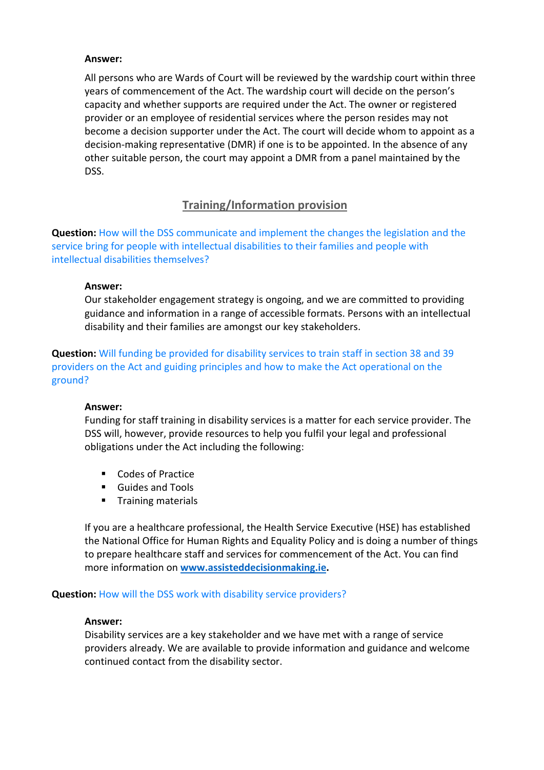## **Answer:**

All persons who are Wards of Court will be reviewed by the wardship court within three years of commencement of the Act. The wardship court will decide on the person's capacity and whether supports are required under the Act. The owner or registered provider or an employee of residential services where the person resides may not become a decision supporter under the Act. The court will decide whom to appoint as a decision-making representative (DMR) if one is to be appointed. In the absence of any other suitable person, the court may appoint a DMR from a panel maintained by the DSS.

# **Training/Information provision**

**Question:** How will the DSS communicate and implement the changes the legislation and the service bring for people with intellectual disabilities to their families and people with intellectual disabilities themselves?

# **Answer:**

Our stakeholder engagement strategy is ongoing, and we are committed to providing guidance and information in a range of accessible formats. Persons with an intellectual disability and their families are amongst our key stakeholders.

**Question:** Will funding be provided for disability services to train staff in section 38 and 39 providers on the Act and guiding principles and how to make the Act operational on the ground?

# **Answer:**

Funding for staff training in disability services is a matter for each service provider. The DSS will, however, provide resources to help you fulfil your legal and professional obligations under the Act including the following:

- Codes of Practice
- Guides and Tools
- **Training materials**

If you are a healthcare professional, the Health Service Executive (HSE) has established the National Office for Human Rights and Equality Policy and is doing a number of things to prepare healthcare staff and services for commencement of the Act. You can find more information on **[www.assisteddecisionmaking.ie.](http://www.assisteddecisionmaking.ie/)**

# **Question:** How will the DSS work with disability service providers?

### **Answer:**

Disability services are a key stakeholder and we have met with a range of service providers already. We are available to provide information and guidance and welcome continued contact from the disability sector.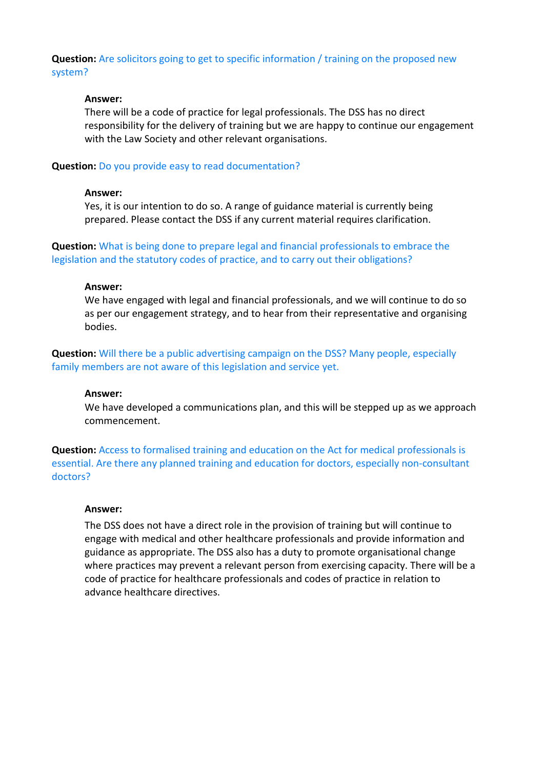**Question:** Are solicitors going to get to specific information / training on the proposed new system?

#### **Answer:**

There will be a code of practice for legal professionals. The DSS has no direct responsibility for the delivery of training but we are happy to continue our engagement with the Law Society and other relevant organisations.

**Question:** Do you provide easy to read documentation?

#### **Answer:**

Yes, it is our intention to do so. A range of guidance material is currently being prepared. Please contact the DSS if any current material requires clarification.

**Question:** What is being done to prepare legal and financial professionals to embrace the legislation and the statutory codes of practice, and to carry out their obligations?

#### **Answer:**

We have engaged with legal and financial professionals, and we will continue to do so as per our engagement strategy, and to hear from their representative and organising bodies.

**Question:** Will there be a public advertising campaign on the DSS? Many people, especially family members are not aware of this legislation and service yet.

#### **Answer:**

We have developed a communications plan, and this will be stepped up as we approach commencement.

**Question:** Access to formalised training and education on the Act for medical professionals is essential. Are there any planned training and education for doctors, especially non-consultant doctors?

#### **Answer:**

The DSS does not have a direct role in the provision of training but will continue to engage with medical and other healthcare professionals and provide information and guidance as appropriate. The DSS also has a duty to promote organisational change where practices may prevent a relevant person from exercising capacity. There will be a code of practice for healthcare professionals and codes of practice in relation to advance healthcare directives.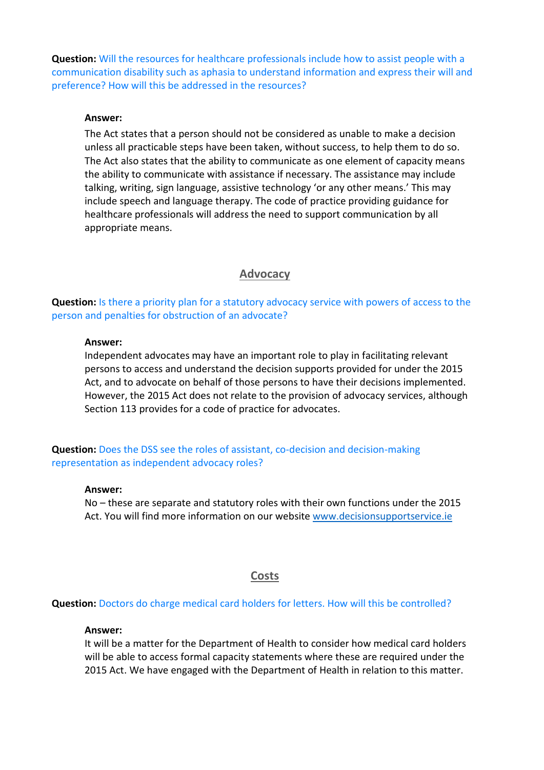**Question:** Will the resources for healthcare professionals include how to assist people with a communication disability such as aphasia to understand information and express their will and preference? How will this be addressed in the resources?

#### **Answer:**

The Act states that a person should not be considered as unable to make a decision unless all practicable steps have been taken, without success, to help them to do so. The Act also states that the ability to communicate as one element of capacity means the ability to communicate with assistance if necessary. The assistance may include talking, writing, sign language, assistive technology 'or any other means.' This may include speech and language therapy. The code of practice providing guidance for healthcare professionals will address the need to support communication by all appropriate means.

# **Advocacy**

**Question:** Is there a priority plan for a statutory advocacy service with powers of access to the person and penalties for obstruction of an advocate?

### **Answer:**

Independent advocates may have an important role to play in facilitating relevant persons to access and understand the decision supports provided for under the 2015 Act, and to advocate on behalf of those persons to have their decisions implemented. However, the 2015 Act does not relate to the provision of advocacy services, although Section 113 provides for a code of practice for advocates.

**Question:** Does the DSS see the roles of assistant, co-decision and decision-making representation as independent advocacy roles?

#### **Answer:**

No – these are separate and statutory roles with their own functions under the 2015 Act. You will find more information on our website [www.decisionsupportservice.ie](http://www.decisionsupportservice.ie/)

# **Costs**

#### **Question:** Doctors do charge medical card holders for letters. How will this be controlled?

#### **Answer:**

It will be a matter for the Department of Health to consider how medical card holders will be able to access formal capacity statements where these are required under the 2015 Act. We have engaged with the Department of Health in relation to this matter.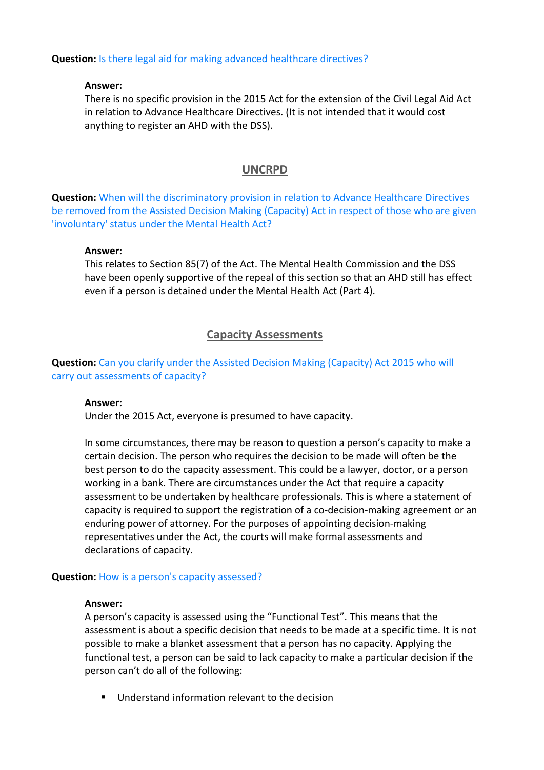# **Question:** Is there legal aid for making advanced healthcare directives?

## **Answer:**

There is no specific provision in the 2015 Act for the extension of the Civil Legal Aid Act in relation to Advance Healthcare Directives. (It is not intended that it would cost anything to register an AHD with the DSS).

# **UNCRPD**

**Question:** When will the discriminatory provision in relation to Advance Healthcare Directives be removed from the Assisted Decision Making (Capacity) Act in respect of those who are given 'involuntary' status under the Mental Health Act?

## **Answer:**

This relates to Section 85(7) of the Act. The Mental Health Commission and the DSS have been openly supportive of the repeal of this section so that an AHD still has effect even if a person is detained under the Mental Health Act (Part 4).

# **Capacity Assessments**

# **Question:** Can you clarify under the Assisted Decision Making (Capacity) Act 2015 who will carry out assessments of capacity?

### **Answer:**

Under the 2015 Act, everyone is presumed to have capacity.

In some circumstances, there may be reason to question a person's capacity to make a certain decision. The person who requires the decision to be made will often be the best person to do the capacity assessment. This could be a lawyer, doctor, or a person working in a bank. There are circumstances under the Act that require a capacity assessment to be undertaken by healthcare professionals. This is where a statement of capacity is required to support the registration of a co-decision-making agreement or an enduring power of attorney. For the purposes of appointing decision-making representatives under the Act, the courts will make formal assessments and declarations of capacity.

# **Question:** How is a person's capacity assessed?

### **Answer:**

A person's capacity is assessed using the "Functional Test". This means that the assessment is about a specific decision that needs to be made at a specific time. It is not possible to make a blanket assessment that a person has no capacity. Applying the functional test, a person can be said to lack capacity to make a particular decision if the person can't do all of the following:

**Understand information relevant to the decision**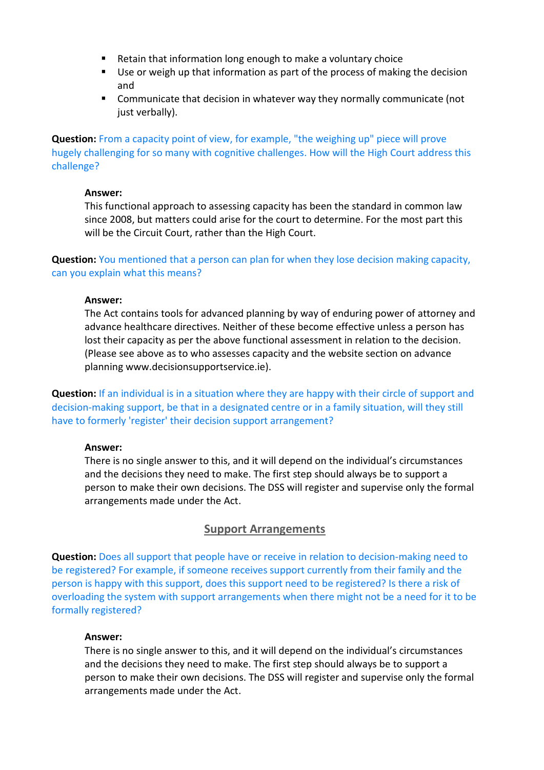- Retain that information long enough to make a voluntary choice
- Use or weigh up that information as part of the process of making the decision and
- Communicate that decision in whatever way they normally communicate (not just verbally).

**Question:** From a capacity point of view, for example, "the weighing up" piece will prove hugely challenging for so many with cognitive challenges. How will the High Court address this challenge?

## **Answer:**

This functional approach to assessing capacity has been the standard in common law since 2008, but matters could arise for the court to determine. For the most part this will be the Circuit Court, rather than the High Court.

**Question:** You mentioned that a person can plan for when they lose decision making capacity, can you explain what this means?

## **Answer:**

The Act contains tools for advanced planning by way of enduring power of attorney and advance healthcare directives. Neither of these become effective unless a person has lost their capacity as per the above functional assessment in relation to the decision. (Please see above as to who assesses capacity and the website section on advance planning www.decisionsupportservice.ie).

**Question:** If an individual is in a situation where they are happy with their circle of support and decision-making support, be that in a designated centre or in a family situation, will they still have to formerly 'register' their decision support arrangement?

# **Answer:**

There is no single answer to this, and it will depend on the individual's circumstances and the decisions they need to make. The first step should always be to support a person to make their own decisions. The DSS will register and supervise only the formal arrangements made under the Act.

# **Support Arrangements**

**Question:** Does all support that people have or receive in relation to decision-making need to be registered? For example, if someone receives support currently from their family and the person is happy with this support, does this support need to be registered? Is there a risk of overloading the system with support arrangements when there might not be a need for it to be formally registered?

## **Answer:**

There is no single answer to this, and it will depend on the individual's circumstances and the decisions they need to make. The first step should always be to support a person to make their own decisions. The DSS will register and supervise only the formal arrangements made under the Act.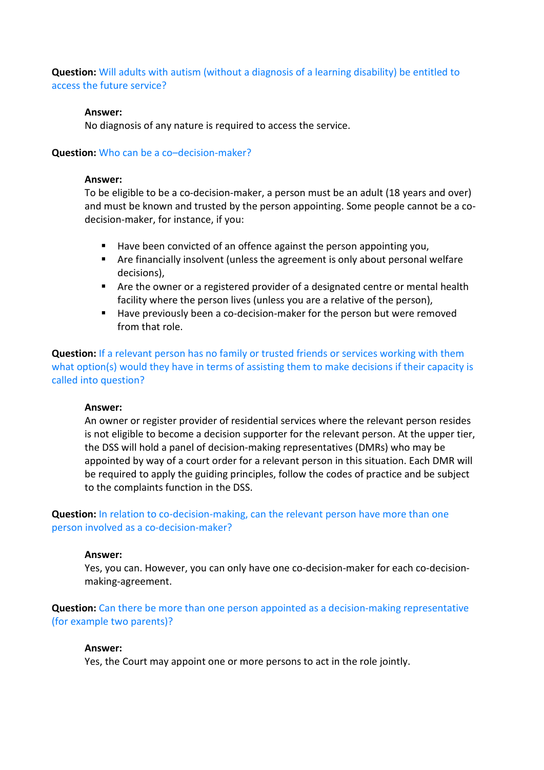# **Question:** Will adults with autism (without a diagnosis of a learning disability) be entitled to access the future service?

## **Answer:**

No diagnosis of any nature is required to access the service.

## **Question:** Who can be a co–decision-maker?

#### **Answer:**

To be eligible to be a co-decision-maker, a person must be an adult (18 years and over) and must be known and trusted by the person appointing. Some people cannot be a codecision-maker, for instance, if you:

- $\blacksquare$  Have been convicted of an offence against the person appointing you,
- Are financially insolvent (unless the agreement is only about personal welfare decisions),
- Are the owner or a registered provider of a designated centre or mental health facility where the person lives (unless you are a relative of the person),
- Have previously been a co-decision-maker for the person but were removed from that role.

**Question:** If a relevant person has no family or trusted friends or services working with them what option(s) would they have in terms of assisting them to make decisions if their capacity is called into question?

### **Answer:**

An owner or register provider of residential services where the relevant person resides is not eligible to become a decision supporter for the relevant person. At the upper tier, the DSS will hold a panel of decision-making representatives (DMRs) who may be appointed by way of a court order for a relevant person in this situation. Each DMR will be required to apply the guiding principles, follow the codes of practice and be subject to the complaints function in the DSS.

**Question:** In relation to co-decision-making, can the relevant person have more than one person involved as a co-decision-maker?

### **Answer:**

Yes, you can. However, you can only have one co-decision-maker for each co-decisionmaking-agreement.

**Question:** Can there be more than one person appointed as a decision-making representative (for example two parents)?

### **Answer:**

Yes, the Court may appoint one or more persons to act in the role jointly.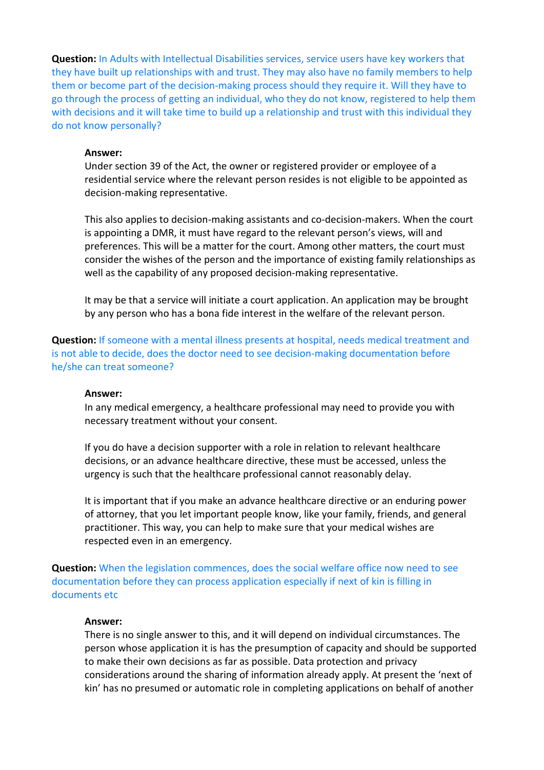**Question:** In Adults with Intellectual Disabilities services, service users have key workers that they have built up relationships with and trust. They may also have no family members to help them or become part of the decision-making process should they require it. Will they have to go through the process of getting an individual, who they do not know, registered to help them with decisions and it will take time to build up a relationship and trust with this individual they do not know personally?

#### **Answer:**

Under section 39 of the Act, the owner or registered provider or employee of a residential service where the relevant person resides is not eligible to be appointed as decision-making representative.

This also applies to decision-making assistants and co-decision-makers. When the court is appointing a DMR, it must have regard to the relevant person's views, will and preferences. This will be a matter for the court. Among other matters, the court must consider the wishes of the person and the importance of existing family relationships as well as the capability of any proposed decision-making representative.

It may be that a service will initiate a court application. An application may be brought by any person who has a bona fide interest in the welfare of the relevant person.

**Question:** If someone with a mental illness presents at hospital, needs medical treatment and is not able to decide, does the doctor need to see decision-making documentation before he/she can treat someone?

#### **Answer:**

In any medical emergency, a healthcare professional may need to provide you with necessary treatment without your consent.

If you do have a decision supporter with a role in relation to relevant healthcare decisions, or an advance healthcare directive, these must be accessed, unless the urgency is such that the healthcare professional cannot reasonably delay.

It is important that if you make an advance healthcare directive or an enduring power of attorney, that you let important people know, like your family, friends, and general practitioner. This way, you can help to make sure that your medical wishes are respected even in an emergency.

**Question:** When the legislation commences, does the social welfare office now need to see documentation before they can process application especially if next of kin is filling in documents etc

#### **Answer:**

There is no single answer to this, and it will depend on individual circumstances. The person whose application it is has the presumption of capacity and should be supported to make their own decisions as far as possible. Data protection and privacy considerations around the sharing of information already apply. At present the 'next of kin' has no presumed or automatic role in completing applications on behalf of another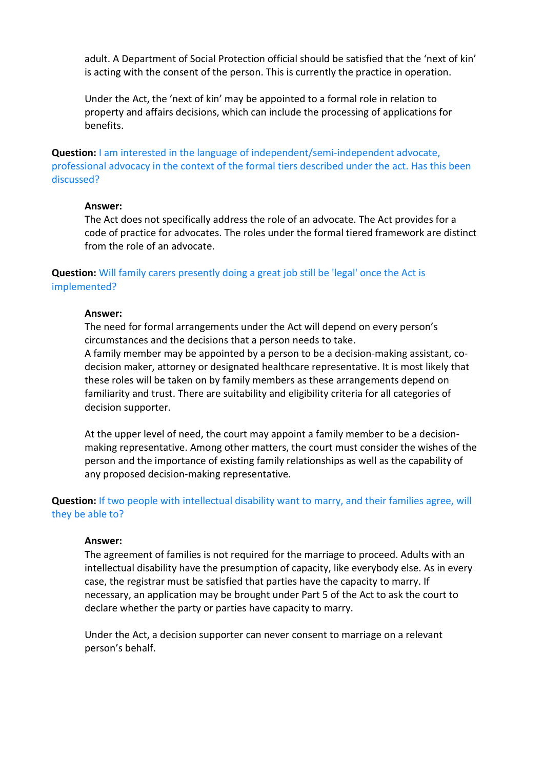adult. A Department of Social Protection official should be satisfied that the 'next of kin' is acting with the consent of the person. This is currently the practice in operation.

Under the Act, the 'next of kin' may be appointed to a formal role in relation to property and affairs decisions, which can include the processing of applications for benefits.

**Question:** I am interested in the language of independent/semi-independent advocate, professional advocacy in the context of the formal tiers described under the act. Has this been discussed?

#### **Answer:**

The Act does not specifically address the role of an advocate. The Act provides for a code of practice for advocates. The roles under the formal tiered framework are distinct from the role of an advocate.

**Question:** Will family carers presently doing a great job still be 'legal' once the Act is implemented?

#### **Answer:**

The need for formal arrangements under the Act will depend on every person's circumstances and the decisions that a person needs to take.

A family member may be appointed by a person to be a decision-making assistant, codecision maker, attorney or designated healthcare representative. It is most likely that these roles will be taken on by family members as these arrangements depend on familiarity and trust. There are suitability and eligibility criteria for all categories of decision supporter.

At the upper level of need, the court may appoint a family member to be a decisionmaking representative. Among other matters, the court must consider the wishes of the person and the importance of existing family relationships as well as the capability of any proposed decision-making representative.

**Question:** If two people with intellectual disability want to marry, and their families agree, will they be able to?

#### **Answer:**

The agreement of families is not required for the marriage to proceed. Adults with an intellectual disability have the presumption of capacity, like everybody else. As in every case, the registrar must be satisfied that parties have the capacity to marry. If necessary, an application may be brought under Part 5 of the Act to ask the court to declare whether the party or parties have capacity to marry.

Under the Act, a decision supporter can never consent to marriage on a relevant person's behalf.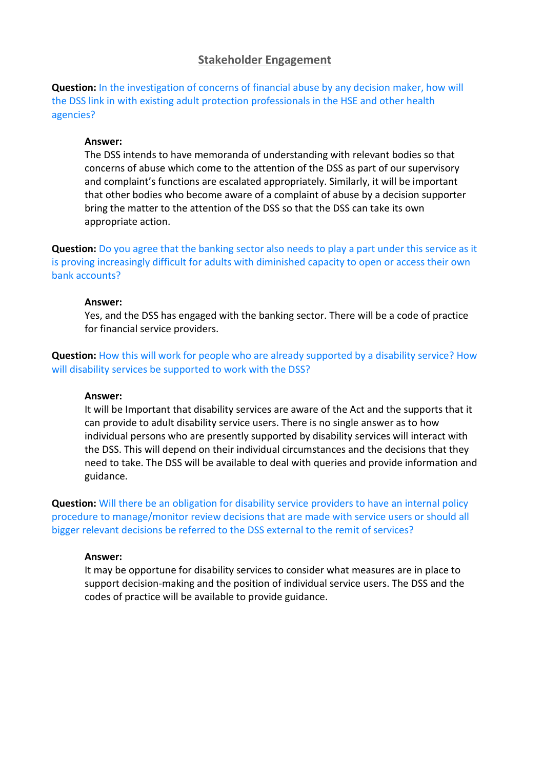# **Stakeholder Engagement**

**Question:** In the investigation of concerns of financial abuse by any decision maker, how will the DSS link in with existing adult protection professionals in the HSE and other health agencies?

## **Answer:**

The DSS intends to have memoranda of understanding with relevant bodies so that concerns of abuse which come to the attention of the DSS as part of our supervisory and complaint's functions are escalated appropriately. Similarly, it will be important that other bodies who become aware of a complaint of abuse by a decision supporter bring the matter to the attention of the DSS so that the DSS can take its own appropriate action.

**Question:** Do you agree that the banking sector also needs to play a part under this service as it is proving increasingly difficult for adults with diminished capacity to open or access their own bank accounts?

### **Answer:**

Yes, and the DSS has engaged with the banking sector. There will be a code of practice for financial service providers.

**Question:** How this will work for people who are already supported by a disability service? How will disability services be supported to work with the DSS?

## **Answer:**

It will be Important that disability services are aware of the Act and the supports that it can provide to adult disability service users. There is no single answer as to how individual persons who are presently supported by disability services will interact with the DSS. This will depend on their individual circumstances and the decisions that they need to take. The DSS will be available to deal with queries and provide information and guidance.

**Question:** Will there be an obligation for disability service providers to have an internal policy procedure to manage/monitor review decisions that are made with service users or should all bigger relevant decisions be referred to the DSS external to the remit of services?

#### **Answer:**

It may be opportune for disability services to consider what measures are in place to support decision-making and the position of individual service users. The DSS and the codes of practice will be available to provide guidance.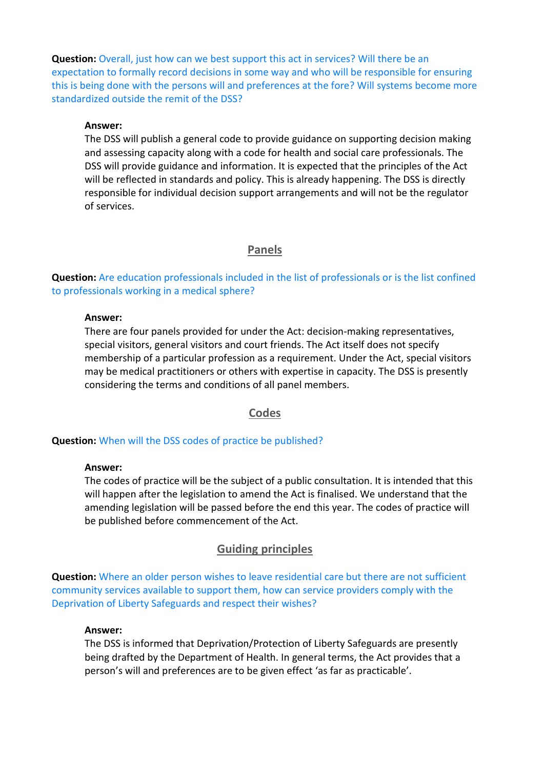**Question:** Overall, just how can we best support this act in services? Will there be an expectation to formally record decisions in some way and who will be responsible for ensuring this is being done with the persons will and preferences at the fore? Will systems become more standardized outside the remit of the DSS?

## **Answer:**

The DSS will publish a general code to provide guidance on supporting decision making and assessing capacity along with a code for health and social care professionals. The DSS will provide guidance and information. It is expected that the principles of the Act will be reflected in standards and policy. This is already happening. The DSS is directly responsible for individual decision support arrangements and will not be the regulator of services.

# **Panels**

**Question:** Are education professionals included in the list of professionals or is the list confined to professionals working in a medical sphere?

### **Answer:**

There are four panels provided for under the Act: decision-making representatives, special visitors, general visitors and court friends. The Act itself does not specify membership of a particular profession as a requirement. Under the Act, special visitors may be medical practitioners or others with expertise in capacity. The DSS is presently considering the terms and conditions of all panel members.

### **Codes**

#### **Question:** When will the DSS codes of practice be published?

### **Answer:**

The codes of practice will be the subject of a public consultation. It is intended that this will happen after the legislation to amend the Act is finalised. We understand that the amending legislation will be passed before the end this year. The codes of practice will be published before commencement of the Act.

# **Guiding principles**

**Question:** Where an older person wishes to leave residential care but there are not sufficient community services available to support them, how can service providers comply with the Deprivation of Liberty Safeguards and respect their wishes?

#### **Answer:**

The DSS is informed that Deprivation/Protection of Liberty Safeguards are presently being drafted by the Department of Health. In general terms, the Act provides that a person's will and preferences are to be given effect 'as far as practicable'.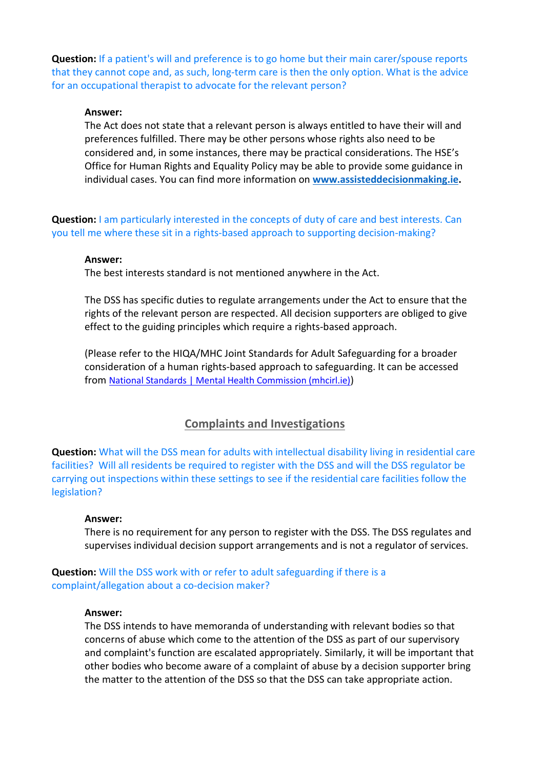**Question:** If a patient's will and preference is to go home but their main carer/spouse reports that they cannot cope and, as such, long-term care is then the only option. What is the advice for an occupational therapist to advocate for the relevant person?

## **Answer:**

The Act does not state that a relevant person is always entitled to have their will and preferences fulfilled. There may be other persons whose rights also need to be considered and, in some instances, there may be practical considerations. The HSE's Office for Human Rights and Equality Policy may be able to provide some guidance in individual cases. You can find more information on **[www.assisteddecisionmaking.ie.](http://www.assisteddecisionmaking.ie/)**

**Question:** I am particularly interested in the concepts of duty of care and best interests. Can you tell me where these sit in a rights-based approach to supporting decision-making?

### **Answer:**

The best interests standard is not mentioned anywhere in the Act.

The DSS has specific duties to regulate arrangements under the Act to ensure that the rights of the relevant person are respected. All decision supporters are obliged to give effect to the guiding principles which require a rights-based approach.

(Please refer to the HIQA/MHC Joint Standards for Adult Safeguarding for a broader consideration of a human rights-based approach to safeguarding. It can be accessed from [National Standards | Mental Health Commission \(mhcirl.ie\)\)](https://mhcirl.ie/what-we-do/guidance/national-standards)

# **Complaints and Investigations**

**Question:** What will the DSS mean for adults with intellectual disability living in residential care facilities? Will all residents be required to register with the DSS and will the DSS regulator be carrying out inspections within these settings to see if the residential care facilities follow the legislation?

### **Answer:**

There is no requirement for any person to register with the DSS. The DSS regulates and supervises individual decision support arrangements and is not a regulator of services.

# **Question:** Will the DSS work with or refer to adult safeguarding if there is a complaint/allegation about a co-decision maker?

### **Answer:**

The DSS intends to have memoranda of understanding with relevant bodies so that concerns of abuse which come to the attention of the DSS as part of our supervisory and complaint's function are escalated appropriately. Similarly, it will be important that other bodies who become aware of a complaint of abuse by a decision supporter bring the matter to the attention of the DSS so that the DSS can take appropriate action.